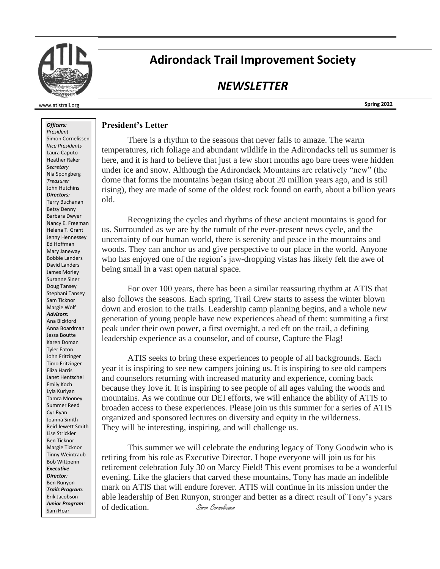

# **Adirondack Trail Improvement Society**

## *NEWSLETTER*

**Spring 2022**

#### *Officers:*

www.atistrail.org

*President* Simon Cornelissen *Vice Presidents* Laura Caputo Heather Raker *Secretary* Nia Spongberg *Treasurer* John Hutchins *Directors:* Terry Buchanan Betsy Denny Barbara Dwyer Nancy E. Freeman Helena T. Grant Jenny Hennessey Ed Hoffman Mary Janeway Bobbie Landers David Landers James Morley Suzanne Siner Doug Tansey Stephani Tansey Sam Ticknor Margie Wolf *Advisors:* Ana Bickford Anna Boardman Jessa Boutte Karen Doman Tyler Eaton John Fritzinger Timo Fritzinger Eliza Harris Janet Hentschel Emily Koch Lyla Kuriyan Tamra Mooney Summer Reed Cyr Ryan Joanna Smith Reid Jewett Smith Lise Strickler Ben Ticknor Margie Ticknor Tinny Weintraub Bob Wittpenn *Executive Director:* Ben Runyon *Trails Program:* Erik Jacobson *Junior Program:* Sam Hoar

### **President's Letter**

There is a rhythm to the seasons that never fails to amaze. The warm temperatures, rich foliage and abundant wildlife in the Adirondacks tell us summer is here, and it is hard to believe that just a few short months ago bare trees were hidden under ice and snow. Although the Adirondack Mountains are relatively "new" (the dome that forms the mountains began rising about 20 million years ago, and is still rising), they are made of some of the oldest rock found on earth, about a billion years old.

Recognizing the cycles and rhythms of these ancient mountains is good for us. Surrounded as we are by the tumult of the ever-present news cycle, and the uncertainty of our human world, there is serenity and peace in the mountains and woods. They can anchor us and give perspective to our place in the world. Anyone who has enjoyed one of the region's jaw-dropping vistas has likely felt the awe of being small in a vast open natural space.

For over 100 years, there has been a similar reassuring rhythm at ATIS that also follows the seasons. Each spring, Trail Crew starts to assess the winter blown down and erosion to the trails. Leadership camp planning begins, and a whole new generation of young people have new experiences ahead of them: summiting a first peak under their own power, a first overnight, a red eft on the trail, a defining leadership experience as a counselor, and of course, Capture the Flag!

ATIS seeks to bring these experiences to people of all backgrounds. Each year it is inspiring to see new campers joining us. It is inspiring to see old campers and counselors returning with increased maturity and experience, coming back because they love it. It is inspiring to see people of all ages valuing the woods and mountains. As we continue our DEI efforts, we will enhance the ability of ATIS to broaden access to these experiences. Please join us this summer for a series of ATIS organized and sponsored lectures on diversity and equity in the wilderness. They will be interesting, inspiring, and will challenge us.

This summer we will celebrate the enduring legacy of Tony Goodwin who is retiring from his role as Executive Director. I hope everyone will join us for his retirement celebration July 30 on Marcy Field! This event promises to be a wonderful evening. Like the glaciers that carved these mountains, Tony has made an indelible mark on ATIS that will endure forever. ATIS will continue in its mission under the able leadership of Ben Runyon, stronger and better as a direct result of Tony's years of dedication. Simon Cornelissen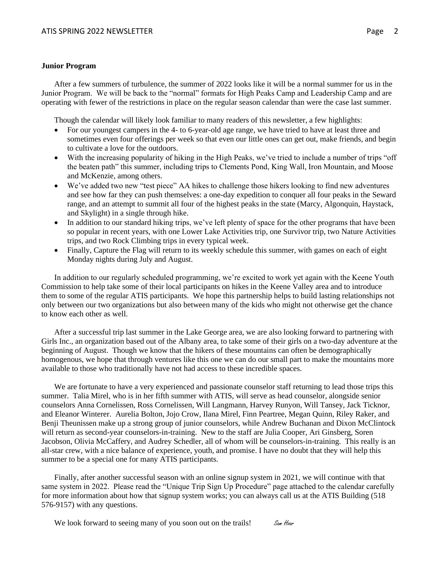#### **Junior Program**

After a few summers of turbulence, the summer of 2022 looks like it will be a normal summer for us in the Junior Program. We will be back to the "normal" formats for High Peaks Camp and Leadership Camp and are operating with fewer of the restrictions in place on the regular season calendar than were the case last summer.

Though the calendar will likely look familiar to many readers of this newsletter, a few highlights:

- For our youngest campers in the 4- to 6-year-old age range, we have tried to have at least three and sometimes even four offerings per week so that even our little ones can get out, make friends, and begin to cultivate a love for the outdoors.
- With the increasing popularity of hiking in the High Peaks, we've tried to include a number of trips "off the beaten path" this summer, including trips to Clements Pond, King Wall, Iron Mountain, and Moose and McKenzie, among others.
- We've added two new "test piece" AA hikes to challenge those hikers looking to find new adventures and see how far they can push themselves: a one-day expedition to conquer all four peaks in the Seward range, and an attempt to summit all four of the highest peaks in the state (Marcy, Algonquin, Haystack, and Skylight) in a single through hike.
- In addition to our standard hiking trips, we've left plenty of space for the other programs that have been so popular in recent years, with one Lower Lake Activities trip, one Survivor trip, two Nature Activities trips, and two Rock Climbing trips in every typical week.
- Finally, Capture the Flag will return to its weekly schedule this summer, with games on each of eight Monday nights during July and August.

In addition to our regularly scheduled programming, we're excited to work yet again with the Keene Youth Commission to help take some of their local participants on hikes in the Keene Valley area and to introduce them to some of the regular ATIS participants. We hope this partnership helps to build lasting relationships not only between our two organizations but also between many of the kids who might not otherwise get the chance to know each other as well.

After a successful trip last summer in the Lake George area, we are also looking forward to partnering with Girls Inc., an organization based out of the Albany area, to take some of their girls on a two-day adventure at the beginning of August. Though we know that the hikers of these mountains can often be demographically homogenous, we hope that through ventures like this one we can do our small part to make the mountains more available to those who traditionally have not had access to these incredible spaces.

We are fortunate to have a very experienced and passionate counselor staff returning to lead those trips this summer. Talia Mirel, who is in her fifth summer with ATIS, will serve as head counselor, alongside senior counselors Anna Cornelissen, Ross Cornelissen, Will Langmann, Harvey Runyon, Will Tansey, Jack Ticknor, and Eleanor Winterer. Aurelia Bolton, Jojo Crow, Ilana Mirel, Finn Peartree, Megan Quinn, Riley Raker, and Benji Theunissen make up a strong group of junior counselors, while Andrew Buchanan and Dixon McClintock will return as second-year counselors-in-training. New to the staff are Julia Cooper, Ari Ginsberg, Soren Jacobson, Olivia McCaffery, and Audrey Schedler, all of whom will be counselors-in-training. This really is an all-star crew, with a nice balance of experience, youth, and promise. I have no doubt that they will help this summer to be a special one for many ATIS participants.

Finally, after another successful season with an online signup system in 2021, we will continue with that same system in 2022. Please read the "Unique Trip Sign Up Procedure" page attached to the calendar carefully for more information about how that signup system works; you can always call us at the ATIS Building (518 576-9157) with any questions.

We look forward to seeing many of you soon out on the trails! Sam Hoard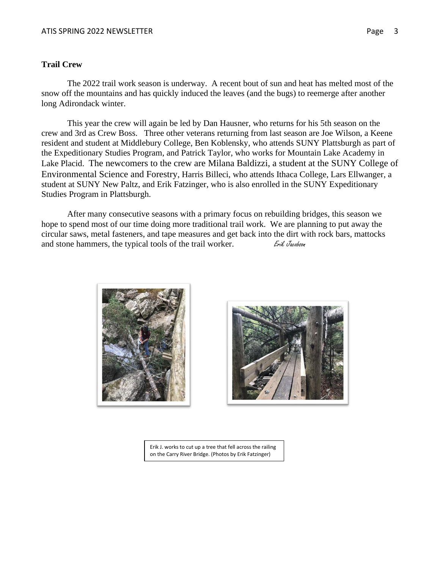## **Trail Crew**

The 2022 trail work season is underway. A recent bout of sun and heat has melted most of the snow off the mountains and has quickly induced the leaves (and the bugs) to reemerge after another long Adirondack winter.

This year the crew will again be led by Dan Hausner, who returns for his 5th season on the crew and 3rd as Crew Boss. Three other veterans returning from last season are Joe Wilson, a Keene resident and student at Middlebury College, Ben Koblensky, who attends SUNY Plattsburgh as part of the Expeditionary Studies Program, and Patrick Taylor, who works for Mountain Lake Academy in Lake Placid. The newcomers to the crew are Milana Baldizzi, a student at the [SUNY College of](https://www.esf.edu/)  [Environmental Science and Forestry](https://www.esf.edu/), Harris Billeci, who attends Ithaca College, Lars Ellwanger, a student at SUNY New Paltz, and Erik Fatzinger, who is also enrolled in the SUNY Expeditionary Studies Program in Plattsburgh.

After many consecutive seasons with a primary focus on rebuilding bridges, this season we hope to spend most of our time doing more traditional trail work. We are planning to put away the circular saws, metal fasteners, and tape measures and get back into the dirt with rock bars, mattocks and stone hammers, the typical tools of the trail worker.  $E_{\text{right}$  *Erik Jacobson* 





Erik J. works to cut up a tree that fell across the railing on the Carry River Bridge. (Photos by Erik Fatzinger)